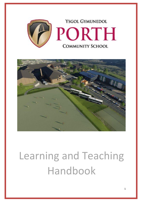



# Learning and Teaching Handbook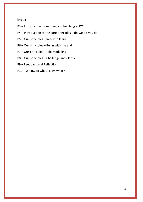# **Index**

- P3 Introduction to learning and teaching at PCS
- P4 Introduction to the core principles (I do-we do-you do)
- P5 Our principles Ready to learn
- P6 Our principles Begin with the end
- P7 Our principles Role Modelling
- P8 Our principles Challenge and Clarity
- P9 Feedback and Reflection
- P10 What...So what...Now what?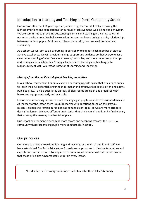# Introduction to Learning and Teaching at Porth Community School

Our mission statement 'Aspire together, achieve together' is fulfilled by us having the highest ambitions and expectations for our pupils' achievement, well-being and behaviour. We are committed to providing outstanding learning and teaching in a caring, safe and nurturing environment. We believe excellent lessons are based on high quality relationships between staff and pupils. Pupils excel if lessons are calm, positive, well prepared and stimulating.

As a school we will aim to do everything in our ability to support each member of staff to achieve excellence. We will provide training, support and guidance so that everyone has a clear understanding of what 'excellent learning' looks like, and more importantly, the tips and strategies to facilitate this. Strategic leadership of learning and teaching is the responsibility of Vicki Whitefoot (Director of Learning and Teaching).

#### *Message from the pupil Learning and Teaching committee.*

In our school, teachers and pupils exist in an encouraging, safe space that challenges pupils to reach their full potential, ensuring that regular and effective feedback is given and allows pupils to grow. To help pupils stay on task, all classrooms are clean and organised with books and equipment ready and available.

Lessons are interesting, interactive and challenging so pupils are able to thrive academically. At the start of the lesson there is a quick starter with questions based on the previous lesson. This helps to refresh our minds and remind us of topics, so we are more attentive during the lesson. We have different 'main tasks' that challenge all pupils and a final plenary that sums up the learning that has taken place.

Our school environment is becoming more aware and accepting towards the LGBTQIA community therefore making pupils more comfortable in school.

#### Our principles

Our aim is to provide 'excellent' learning and teaching: as a team of pupils and staff, we have established *Our Porth Principles* – 6 consistent approaches to the structure, ethos and expectations within lessons. To help achieve our aims, all members of staff should ensure that these principles fundamentally underpin every lesson.

"Leadership and learning are indispensable to each other" **John F Kennedy**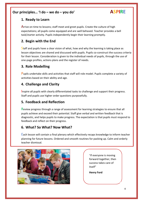# **Our principles… 'I do – we do – you do' ASPIRE**

## **1. Ready to Learn**

Arrive on time to lessons; staff meet and greet pupils. Create the culture of high expectations; all pupils come equipped and are well behaved. Teacher provides a bell task/starter activity. Pupils independently begin their learning promptly.

# **2. Begin with the End**

Staff and pupils have a clear vision of what, how and why the learning is taking place as lesson objectives are shared and discussed with pupils. Pupils co-construct the success criteria for their lesson. Consideration is given to the individual needs of pupils, through the use of one-page profiles, actions plans and the register of needs.

# **3. Role Modelling**

Pupils undertake skills and activities that staff will role model. Pupils complete a variety of Our aspiration is to deliver high quality learning experiences each lesson and on a daily activities based on their ability and age.

# **4.** Challenge and Clarity **means of staff tries to reinforce these messages messages messages messages messages messages messages messages messages messages messages messages messages messages messages messages messages m**

Inspire all pupils with clearly differentiated tasks to challenge and support their progress. Staff and pupils use higher order questions purposefully.

# **5. Feedback and Reflection**

Review progress through a range of assessment for learning strategies to ensure that all pupils achieve and exceed their potential. Staff give verbal and written feedback that is diagnostic, and helps pupils to make progress. The expectation is that pupils must respond to feedback and reflect on their progress.

# **6. What? So What? Now What?**

Each lesson will contain a final plenary which effectively recaps knowledge to inform teacher planning for future lessons. Ordered and smooth routines for packing up. Calm and orderly teacher dismissal.



"If everyone is moving forward together, then success takes care of itself"

**Henry Ford**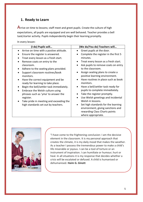# **1. Ready to Learn**

Arrive on time to lessons; staff meet and greet pupils. Create the culture of high expectations, all pupils are equipped and are well behaved. Teacher provides a bell task/starter activity. Pupils independently begin their learning promptly.

In every lesson:

| (I do) Pupils will                                                                                                                                                                                                                                                                                                                                                                                                                                                                                                                   | (We do/You do) Teachers will                                                                                                                                                                                                                                                                                                                                                                                                                                                   |
|--------------------------------------------------------------------------------------------------------------------------------------------------------------------------------------------------------------------------------------------------------------------------------------------------------------------------------------------------------------------------------------------------------------------------------------------------------------------------------------------------------------------------------------|--------------------------------------------------------------------------------------------------------------------------------------------------------------------------------------------------------------------------------------------------------------------------------------------------------------------------------------------------------------------------------------------------------------------------------------------------------------------------------|
| Arrive on time with a postive attitude.<br>٠<br>Ensure the register is answered.<br>Treat every lesson as a fresh start.<br>Remove coats on entry to the<br>classroom.<br>Adhere to the seating plans provided.<br>Support classroom routines/book<br>monitors.<br>Have the correct equipment and be<br>$\bullet$<br>ready for learning to take place.<br>Begin the bell/settler task immediately.<br>Embrace the Welsh culture using<br>phrases such as 'yma' to answer the<br>register.<br>Take pride in meeting and exceeding the | Greet pupils at the door.<br>Complete the register in the first 5<br>minutes.<br>Treat every lesson as a fresh start.<br>Ask pupils to remove coats on entry<br>to the classroom.<br>Assign seating plans to create a<br>positive learning environment.<br>Have routines in place such as book<br>monitors.<br>Have a bell/settler task ready for<br>pupils to complete immediately.<br>Take the register promptly.<br>Use Welsh greetings and incidental<br>Welsh in lessons. |
| high standards set out by teachers.                                                                                                                                                                                                                                                                                                                                                                                                                                                                                                  | Set high standards for the learning<br>environment, giving sanctions and<br>rewarding Class Charts points<br>where appropriate.                                                                                                                                                                                                                                                                                                                                                |



"I have come to the frightening conclusion: I am the decisive element in the classroom. It is my personal approach that creates the climate, it is my daily mood that makes the weather. As a teacher I possess the tremendous power to make a child's life miserable or joyous. I can be a tool of torture or an instrument of inspiration. I can humiliate or humour; hurt or heal. In all situations it is my response that decides whether a crisis will be escalated or defused. A child is humanised or dehumanised. **Haim G. Ginott**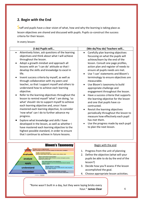# **2. Begin with the End**

Staff and pupils have a clear vision of what, how and why the learning is taking place as lesson objectives are shared and discussed with pupils. Pupils co-construct the success criteria for their lesson.

In every lesson:

| (I do) Pupils will                                                                                                                                                                                                                                                                                                                                                                                                                                                                                                                                                                                                                                                                                                                                                                                                                                                                                                                                                                                                                                                   | (We do/You do) Teachers will                                                                                                                                                                                                                                                                                                                                                                                                                                                                                                                                                                                                                                                                                                                                                     |
|----------------------------------------------------------------------------------------------------------------------------------------------------------------------------------------------------------------------------------------------------------------------------------------------------------------------------------------------------------------------------------------------------------------------------------------------------------------------------------------------------------------------------------------------------------------------------------------------------------------------------------------------------------------------------------------------------------------------------------------------------------------------------------------------------------------------------------------------------------------------------------------------------------------------------------------------------------------------------------------------------------------------------------------------------------------------|----------------------------------------------------------------------------------------------------------------------------------------------------------------------------------------------------------------------------------------------------------------------------------------------------------------------------------------------------------------------------------------------------------------------------------------------------------------------------------------------------------------------------------------------------------------------------------------------------------------------------------------------------------------------------------------------------------------------------------------------------------------------------------|
| Attentively listen, ask questions of the learning<br>$\bullet$<br>objectives and think about what I will achieve<br>throughout the lesson.<br>Adopt a growth mindset and approach all<br>lessons with an 'I can do' attitude so that I<br>develop the skills and knowledge to excel in<br>life.<br>Invent success criteria by myself, as well as<br>through collaboration with my peers and<br>teacher, so that I support myself and others to<br>understand how to achieve each learning<br>objective.<br>Refer to the learning objectives throughout the<br>lesson to remind myself 'what' I am doing, 'so<br>what' should I do to support myself to achieve<br>each learning objective and, once I have<br>mastered each learning objective, to consider<br>'now what' can I do to further advance my<br>progress.<br>Explore what knowledge and skills I have<br>developed in the lesson, as well as whether I<br>have mastered each learning objective to the<br>highest possible standard, in order to ensure<br>that I continue to achieve in future lessons. | Carefully plan learning objectives<br>$\bullet$<br>focussing on what the pupils will<br>achieve/learn by the end of the<br>lesson. Consult one page profiles,<br>action plan and register of needs to<br>ensure all pupils needs are met.<br>Use 'I can' statements and Bloom's<br>terminology to ensure objectives are<br>measurable.<br>Use Bloom's taxonomy to build<br>appropriate challenge and<br>engagement throughout the lesson.<br>Have a success criteria that supports<br>the learning objective for the lesson<br>and one that pupils have co-<br>contructed.<br>Revisit the learning objectives<br>periodically throughout the lesson to<br>measure how effectively each pupil<br>has met them.<br>Use the progress made by each pupil<br>to plan the next lesson. |
| <b>Bloom's Taxonomy</b><br>Produce new or original work<br>create<br>Design, assemble, construct, conjecture, develop, formulate, author, investig<br><b>Justify a stand or decision</b><br>evaluate<br>appraise, argue, defend, judge, select, support, value, critique, weigh<br><b>Draw connections among ideas</b><br>differentiate, organize, relate, compare, contrast, distinguish, examine,<br>analyze<br>experiment, question, test<br>Use information in new situations<br>execute, implement, solve, use, demonstrate, interpret, operate,<br>apply<br>schedule, sketch<br><b>Explain ideas or concepts</b><br>understand<br>classify, describe, discuss, explain, identify, locate, recognize,<br>report, select, translate<br>Recall facts and basic concepts                                                                                                                                                                                                                                                                                           | Begin with the end<br>1. Progress from the unit of planning<br>2. Define the objective (what will your<br>pupils be able to do by the end of the<br>lesson?)<br>Decide how you'll assess if the lesson<br>3.<br>accomplished the goal.                                                                                                                                                                                                                                                                                                                                                                                                                                                                                                                                           |
| remember<br>define, duplicate, list, memorize, repeat, state                                                                                                                                                                                                                                                                                                                                                                                                                                                                                                                                                                                                                                                                                                                                                                                                                                                                                                                                                                                                         | 4. Choose appropriate lesson activities.                                                                                                                                                                                                                                                                                                                                                                                                                                                                                                                                                                                                                                                                                                                                         |

"Rome wasn't built in a day, but they were laying bricks every hour." **James Clear**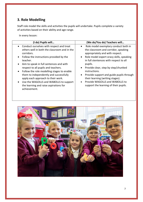# **3. Role Modelling**

Staff role model the skills and activities the pupils will undertake. Pupils complete a variety of activities based on their ability and age range.

In every lesson:

| (I do) Pupils will                           | (We do/You do) Teachers will             |
|----------------------------------------------|------------------------------------------|
| • Conduct ourselves with respect and treat   | Role model exemplary conduct both in     |
| others well in both the classroom and in the | $\bullet$                                |
| corridors.                                   | the classroom and corridor, speaking     |
| Follow the instructions provided by the      | appropriately and with respect.          |
| teacher.                                     | Role model expert oracy skills, speaking |
| Aim to speak in full sentences and with      | in full stentences with respect to all   |
| $\bullet$                                    | pupils.                                  |
| respect to all pupils and teachers.          | Provide clear, step by step/chunked      |
| Follow the role modelling stages to enable   | $\bullet$                                |
| $\bullet$                                    | instructions.                            |
| them to independently and successfully       | Provide support and guide pupils through |
| apply each approach to their work.           | $\bullet$                                |
| Use the WAGOLLS and WABOLLS to support       | their learning (writing stages).         |
| $\bullet$                                    | Provide WAGOLLS and WABOLLS to           |
| the learning and raise aspirations for       | $\bullet$                                |
| achievement.                                 | support the learning of their pupils.    |

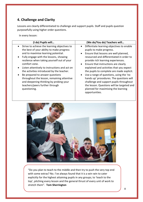# **4. Challenge and Clarity**

Lessons are clearly differentiated to challenge and support pupils. Staff and pupils question purposefully using higher order questions.

In every lesson:

| (I do) Pupils will                                                                                                                                                                                                                                                                                                                                                                                                                                                                                                   | (We do/You do) Teachers will                                                                                                                                                                                                                                                                                                                                                                                                                                                                                                                                                                                      |  |
|----------------------------------------------------------------------------------------------------------------------------------------------------------------------------------------------------------------------------------------------------------------------------------------------------------------------------------------------------------------------------------------------------------------------------------------------------------------------------------------------------------------------|-------------------------------------------------------------------------------------------------------------------------------------------------------------------------------------------------------------------------------------------------------------------------------------------------------------------------------------------------------------------------------------------------------------------------------------------------------------------------------------------------------------------------------------------------------------------------------------------------------------------|--|
| Strive to achieve the learning objectives to<br>the best of your ability to make progress<br>and to maximise learning potential.<br>Fully engage with the lessons, showing<br>resilence when taking yourself out of your<br>comfort zone.<br>Listen attentively to instructions and act on<br>the activities introduced by the teacher.<br>Be prepared to answer questions<br>throughout the lesson, remaining attentive<br>and deepening thinking by probing your<br>teachers/peers further through<br>questioning. | Diffentiate learning objectives to enable<br>pupils to make progress.<br>Ensure that lessons are well planned,<br>$\bullet$<br>resourced and differentiated in order to<br>provide rich learning experiences.<br>Ensure that instructions are clearly<br>$\bullet$<br>explained and activities that you expect<br>the pupils to complete are made explicit.<br>Use a range of questions, using the 'no<br>$\bullet$<br>hands up' procedures. The questions will<br>challenge and support pupils throughout<br>the lesson. Questions will be targeted and<br>planned for maximising the learning<br>opportunities. |  |



"Do you plan to teach to the middle and then try to push the very top end with some extras? No. I've always found that it is a win-win to cater explicitly for the highest attaining pupils in any groups; to 'teach to the top', pitching every lesson and the general thrust of every unit of work to stretch them". **Tom Sherrington**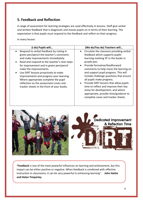# **5. Feedback and Reflection**

A range of assessment for learning strategies are used effectively in lessons. Staff give verbal and written feedback that is diagnostic and moves pupils on in terms of their learning. The expectation is that pupils must respond to the feedback and reflect on their progress.

In every lesson:

| (I do) Pupils will                                                                                                                                                                                                                                                                                                                                                                                                                                                | (We do/You do) Teachers will                                                                                                                                                                                                                                                                                                                                                                                                                                                                                                                                  |
|-------------------------------------------------------------------------------------------------------------------------------------------------------------------------------------------------------------------------------------------------------------------------------------------------------------------------------------------------------------------------------------------------------------------------------------------------------------------|---------------------------------------------------------------------------------------------------------------------------------------------------------------------------------------------------------------------------------------------------------------------------------------------------------------------------------------------------------------------------------------------------------------------------------------------------------------------------------------------------------------------------------------------------------------|
| Respond to verbal feedback by noting in<br>green pen/pencil the teacher's comments<br>and make improvements immediately.<br>Read and respond to the teacher's next steps<br>for improvement and in green pen/pencil<br>make the improvements.<br>Use DIRT lessons proactively to make<br>improvements and progress your learning.<br>Where appropriate complete the pupil<br>reflection on the assessment cover and<br>tracker sheets in the front of your books. | • Circulate the classoom providing verbal<br>feedback which supports pupils'<br>learning marking VF in the books in<br>purple pen.<br>Provide formative/feedforward<br>$\bullet$<br>comments to help move the learning on<br>and support pupil progress. This will<br>include challenge questions that ensure<br>all pupils make progress.<br>Provide DIRT lessons that allow pupils<br>$\bullet$<br>time to reflect and improve their key<br>areas for development; and where<br>appropriate, provide time/guidance to<br>complete cover and tracker sheets. |



**"Feedback** is one of the most powerful influences on learning and achievement, but this impact can be either positive or negative. When feedback is combined with effective instruction in classrooms, it can be very powerful in enhancing learning". **John Hattie and Helen Timperley**